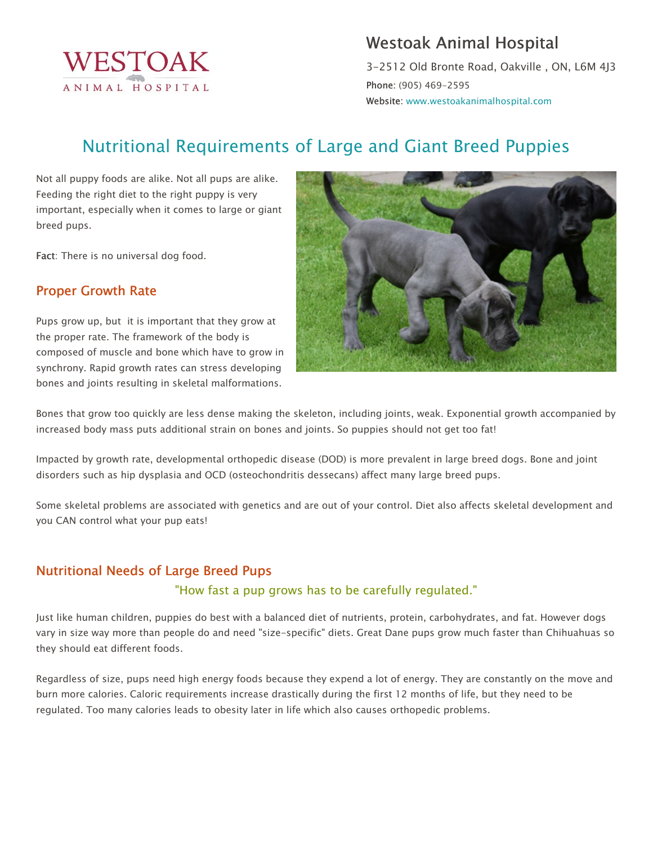

# Westoak Animal Hospital

3-2512 Old Bronte Road, Oakville , ON, L6M 4J3 Phone: (905) 469-2595 Website: www.westoakanimalhospital.com

# Nutritional Requirements of Large and Giant Breed Puppies

Not all puppy foods are alike. Not all pups are alike. Feeding the right diet to the right puppy is very important, especially when it comes to large or giant breed pups.

Fact: There is no universal dog food.

# Proper Growth Rate

Pups grow up, but it is important that they grow at the proper rate. The framework of the body is composed of muscle and bone which have to grow in synchrony. Rapid growth rates can stress developing bones and joints resulting in skeletal malformations.



Bones that grow too quickly are less dense making the skeleton, including joints, weak. Exponential growth accompanied by increased body mass puts additional strain on bones and joints. So puppies should not get too fat!

Impacted by growth rate, developmental orthopedic disease (DOD) is more prevalent in large breed dogs. Bone and joint disorders such as hip dysplasia and OCD (osteochondritis dessecans) affect many large breed pups.

Some skeletal problems are associated with genetics and are out of your control. Diet also affects skeletal development and you CAN control what your pup eats!

# Nutritional Needs of Large Breed Pups

#### "How fast a pup grows has to be carefully regulated."

Just like human children, puppies do best with a balanced diet of nutrients, protein, carbohydrates, and fat. However dogs vary in size way more than people do and need "size-specific" diets. Great Dane pups grow much faster than Chihuahuas so they should eat different foods.

Regardless of size, pups need high energy foods because they expend a lot of energy. They are constantly on the move and burn more calories. Caloric requirements increase drastically during the first 12 months of life, but they need to be regulated. Too many calories leads to obesity later in life which also causes orthopedic problems.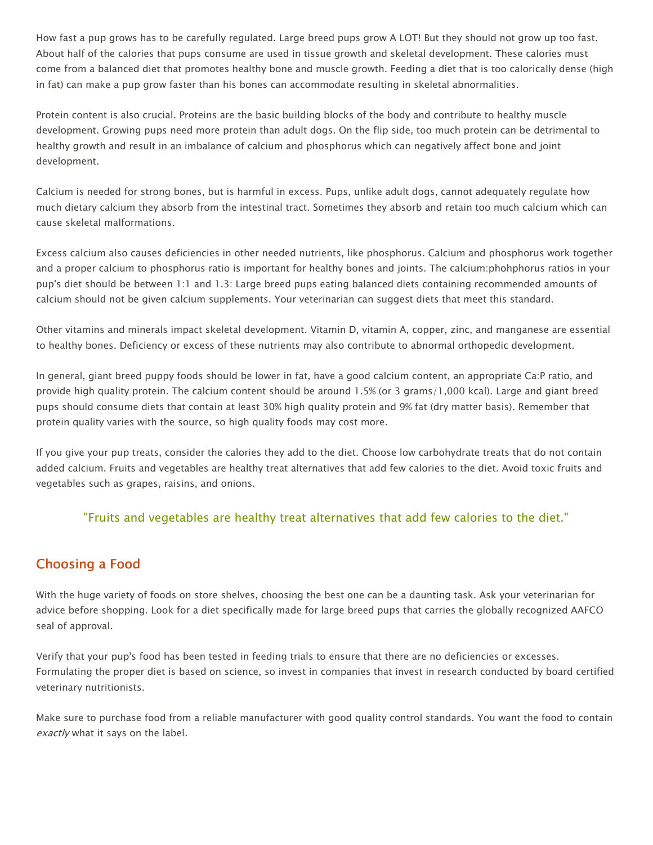How fast a pup grows has to be carefully regulated. Large breed pups grow A LOT! But they should not grow up too fast. About half of the calories that pups consume are used in tissue growth and skeletal development. These calories must come from a balanced diet that promotes healthy bone and muscle growth. Feeding a diet that is too calorically dense (high in fat) can make a pup grow faster than his bones can accommodate resulting in skeletal abnormalities.

Protein content is also crucial. Proteins are the basic building blocks of the body and contribute to healthy muscle development. Growing pups need more protein than adult dogs. On the flip side, too much protein can be detrimental to healthy growth and result in an imbalance of calcium and phosphorus which can negatively affect bone and joint development.

Calcium is needed for strong bones, but is harmful in excess. Pups, unlike adult dogs, cannot adequately regulate how much dietary calcium they absorb from the intestinal tract. Sometimes they absorb and retain too much calcium which can cause skeletal malformations.

Excess calcium also causes deficiencies in other needed nutrients, like phosphorus. Calcium and phosphorus work together and a proper calcium to phosphorus ratio is important for healthy bones and joints. The calcium:phohphorus ratios in your pup's diet should be between 1:1 and 1.3: Large breed pups eating balanced diets containing recommended amounts of calcium should not be given calcium supplements. Your veterinarian can suggest diets that meet this standard.

Other vitamins and minerals impact skeletal development. Vitamin D, vitamin A, copper, zinc, and manganese are essential to healthy bones. Deficiency or excess of these nutrients may also contribute to abnormal orthopedic development.

In general, giant breed puppy foods should be lower in fat, have a good calcium content, an appropriate Ca:P ratio, and provide high quality protein. The calcium content should be around 1.5% (or 3 grams/1,000 kcal). Large and giant breed pups should consume diets that contain at least 30% high quality protein and 9% fat (dry matter basis). Remember that protein quality varies with the source, so high quality foods may cost more.

If you give your pup treats, consider the calories they add to the diet. Choose low carbohydrate treats that do not contain added calcium. Fruits and vegetables are healthy treat alternatives that add few calories to the diet. Avoid toxic fruits and vegetables such as grapes, raisins, and onions.

#### "Fruits and vegetables are healthy treat alternatives that add few calories to the diet."

# Choosing a Food

With the huge variety of foods on store shelves, choosing the best one can be a daunting task. Ask your veterinarian for advice before shopping. Look for a diet specifically made for large breed pups that carries the globally recognized AAFCO seal of approval.

Verify that your pup's food has been tested in feeding trials to ensure that there are no deficiencies or excesses. Formulating the proper diet is based on science, so invest in companies that invest in research conducted by board certified veterinary nutritionists.

Make sure to purchase food from a reliable manufacturer with good quality control standards. You want the food to contain exactly what it says on the label.